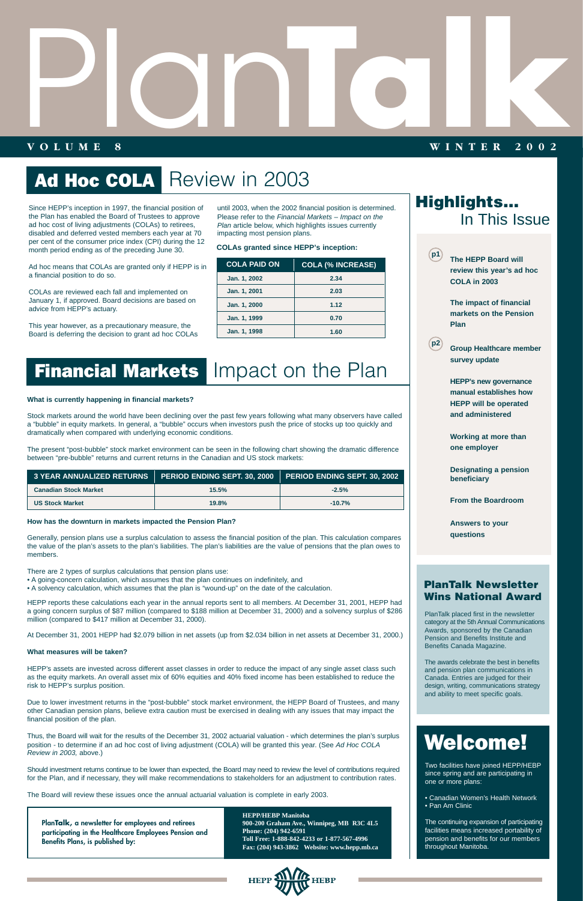# Plan

# Ad Hoc COLA Review in 2003

# **VOLUME 8 WINTER 2002 TALK SERVICE SERVICE SERVICE SERVICE SERVICE SERVICE SERVICE SERVICE SERVICE SERVICE SERVICE SERVICE SERVICE SERVICE SERVICE SERVICE SERVICE SERVICE SERVICE SERVICE SERVICE SERVICE SERVICE SERVICE SERVICE SERVICE SERVICE**

Since HEPP's inception in 1997, the financial position of the Plan has enabled the Board of Trustees to approve ad hoc cost of living adjustments (COLAs) to retirees, disabled and deferred vested members each year at 70 per cent of the consumer price index (CPI) during the 12 month period ending as of the preceding June 30.

Ad hoc means that COLAs are granted only if HEPP is in a financial position to do so.

COLAs are reviewed each fall and implemented on January 1, if approved. Board decisions are based on advice from HEPP's actuary.

This year however, as a precautionary measure, the Board is deferring the decision to grant ad hoc COLAs

until 2003, when the 2002 financial position is determined. Please refer to the Financial Markets – Impact on the

> Two facilities have joined HEPP/HEBP since spring and are participating in one or more plans:

• Canadian Women's Health Network • Pan Am Clinic

The continuing expansion of participating facilities means increased portability of pension and benefits for our members throughout Manitoba.

PlanTalk placed first in the newsletter category at the 5th Annual Communications Awards, sponsored by the Canadian Pension and Benefits Institute and Benefits Canada Magazine.

Plan article below, which highlights issues currently impacting most pension plans. **COLAs granted since HEPP's inception:**

> The awards celebrate the best in benefits and pension plan communications in Canada. Entries are judged for their design, writing, communications strategy and ability to meet specific goals.

## Welcome!

**PlanTalk, a newsletter for employees and retirees participating in the Healthcare Employees Pension and Benefits Plans, is published by:**

**HEPP/HEBP Manitoba 900-200 Graham Ave., Winnipeg, MB R3C 4L5 Phone: (204) 942-6591 Toll Free: 1-888-842-4233 or 1-877-567-4996 Fax: (204) 943-3862 Website: www.hepp.mb.ca** 



| <b>COLA PAID ON</b> | <b>COLA (% INCREASE)</b> |
|---------------------|--------------------------|
| Jan. 1, 2002        | 2.34                     |
| Jan. 1, 2001        | 2.03                     |
| Jan. 1, 2000        | 1.12                     |
| Jan. 1, 1999        | 0.70                     |
| Jan. 1, 1998        | 1.60                     |

### **Financial Markets** Impact on the Plan

| <b>Highlights</b><br>In This Issue |                                                                                                            |  |
|------------------------------------|------------------------------------------------------------------------------------------------------------|--|
| <b>p1</b>                          | <b>The HEPP Board will</b><br>review this year's ad hoc<br><b>COLA in 2003</b>                             |  |
|                                    | The impact of financial<br>markets on the Pension<br>Plan                                                  |  |
| p <sub>2</sub>                     | <b>Group Healthcare member</b><br>survey update                                                            |  |
|                                    | <b>HEPP's new governance</b><br>manual establishes how<br><b>HEPP will be operated</b><br>and administered |  |
|                                    | <b>Working at more than</b><br>one employer                                                                |  |
|                                    | <b>Designating a pension</b><br>beneficiary                                                                |  |
|                                    | <b>From the Boardroom</b>                                                                                  |  |
|                                    | <b>Answers to your</b><br>questions                                                                        |  |
|                                    | <b>PlanTalk Newsletter</b><br><b>Wins National Award</b>                                                   |  |

#### **What is currently happening in financial markets?**

Stock markets around the world have been declining over the past few years following what many observers have called a "bubble" in equity markets. In general, a "bubble" occurs when investors push the price of stocks up too quickly and dramatically when compared with underlying economic conditions.

The present "post-bubble" stock market environment can be seen in the following chart showing the dramatic difference between "pre-bubble" returns and current returns in the Canadian and US stock markets:

#### **How has the downturn in markets impacted the Pension Plan?**

Generally, pension plans use a surplus calculation to assess the financial position of the plan. This calculation compares the value of the plan's assets to the plan's liabilities. The plan's liabilities are the value of pensions that the plan owes to members.

There are 2 types of surplus calculations that pension plans use:

- A going-concern calculation, which assumes that the plan continues on indefinitely, and
- A solvency calculation, which assumes that the plan is "wound-up" on the date of the calculation.

HEPP reports these calculations each year in the annual reports sent to all members. At December 31, 2001, HEPP had a going concern surplus of \$87 million (compared to \$188 million at December 31, 2000) and a solvency surplus of \$286 million (compared to \$417 million at December 31, 2000).

| $\,$ 3 YEAR ANNUALIZED RETURNS $\,$ PERIOD ENDING SEPT. 30, 2000 $\,$ PERIOD ENDING SEPT. 30, 2002 $\,$ |       |          |
|---------------------------------------------------------------------------------------------------------|-------|----------|
| <b>Canadian Stock Market</b>                                                                            | 15.5% | $-2.5%$  |
| <b>US Stock Market</b>                                                                                  | 19.8% | $-10.7%$ |

At December 31, 2001 HEPP had \$2.079 billion in net assets (up from \$2.034 billion in net assets at December 31, 2000.)

#### **What measures will be taken?**

HEPP's assets are invested across different asset classes in order to reduce the impact of any single asset class such as the equity markets. An overall asset mix of 60% equities and 40% fixed income has been established to reduce the risk to HEPP's surplus position.

Due to lower investment returns in the "post-bubble" stock market environment, the HEPP Board of Trustees, and many other Canadian pension plans, believe extra caution must be exercised in dealing with any issues that may impact the financial position of the plan.

Thus, the Board will wait for the results of the December 31, 2002 actuarial valuation - which determines the plan's surplus position - to determine if an ad hoc cost of living adjustment (COLA) will be granted this year. (See Ad Hoc COLA Review in 2003, above.)

Should investment returns continue to be lower than expected, the Board may need to review the level of contributions required for the Plan, and if necessary, they will make recommendations to stakeholders for an adjustment to contribution rates.

The Board will review these issues once the annual actuarial valuation is complete in early 2003.